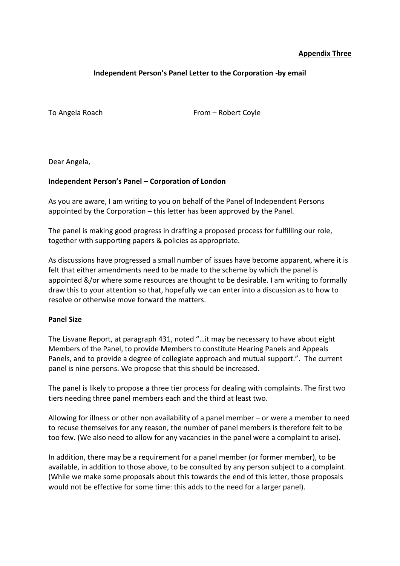### **Appendix Three**

## **Independent Person's Panel Letter to the Corporation -by email**

To Angela Roach From – Robert Coyle

Dear Angela,

### **Independent Person's Panel – Corporation of London**

As you are aware, I am writing to you on behalf of the Panel of Independent Persons appointed by the Corporation – this letter has been approved by the Panel.

The panel is making good progress in drafting a proposed process for fulfilling our role, together with supporting papers & policies as appropriate.

As discussions have progressed a small number of issues have become apparent, where it is felt that either amendments need to be made to the scheme by which the panel is appointed &/or where some resources are thought to be desirable. I am writing to formally draw this to your attention so that, hopefully we can enter into a discussion as to how to resolve or otherwise move forward the matters.

### **Panel Size**

The Lisvane Report, at paragraph 431, noted "…it may be necessary to have about eight Members of the Panel, to provide Members to constitute Hearing Panels and Appeals Panels, and to provide a degree of collegiate approach and mutual support.". The current panel is nine persons. We propose that this should be increased.

The panel is likely to propose a three tier process for dealing with complaints. The first two tiers needing three panel members each and the third at least two.

Allowing for illness or other non availability of a panel member – or were a member to need to recuse themselves for any reason, the number of panel members is therefore felt to be too few. (We also need to allow for any vacancies in the panel were a complaint to arise).

In addition, there may be a requirement for a panel member (or former member), to be available, in addition to those above, to be consulted by any person subject to a complaint. (While we make some proposals about this towards the end of this letter, those proposals would not be effective for some time: this adds to the need for a larger panel).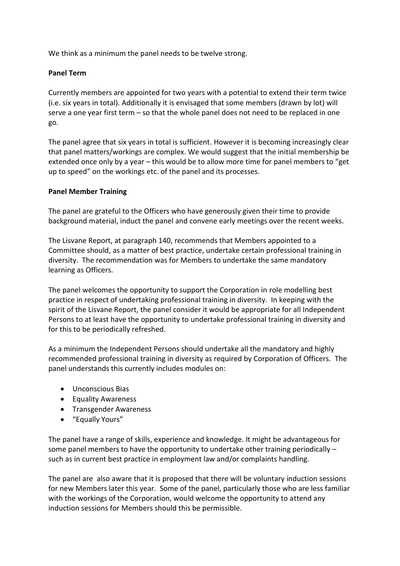We think as a minimum the panel needs to be twelve strong.

## **Panel Term**

Currently members are appointed for two years with a potential to extend their term twice (i.e. six years in total). Additionally it is envisaged that some members (drawn by lot) will serve a one year first term – so that the whole panel does not need to be replaced in one go.

The panel agree that six years in total is sufficient. However it is becoming increasingly clear that panel matters/workings are complex. We would suggest that the initial membership be extended once only by a year – this would be to allow more time for panel members to "get up to speed" on the workings etc. of the panel and its processes.

## **Panel Member Training**

The panel are grateful to the Officers who have generously given their time to provide background material, induct the panel and convene early meetings over the recent weeks.

The Lisvane Report, at paragraph 140, recommends that Members appointed to a Committee should, as a matter of best practice, undertake certain professional training in diversity. The recommendation was for Members to undertake the same mandatory learning as Officers.

The panel welcomes the opportunity to support the Corporation in role modelling best practice in respect of undertaking professional training in diversity. In keeping with the spirit of the Lisvane Report, the panel consider it would be appropriate for all Independent Persons to at least have the opportunity to undertake professional training in diversity and for this to be periodically refreshed.

As a minimum the Independent Persons should undertake all the mandatory and highly recommended professional training in diversity as required by Corporation of Officers. The panel understands this currently includes modules on:

- Unconscious Bias
- Equality Awareness
- Transgender Awareness
- "Equally Yours"

The panel have a range of skills, experience and knowledge. It might be advantageous for some panel members to have the opportunity to undertake other training periodically – such as in current best practice in employment law and/or complaints handling.

The panel are also aware that it is proposed that there will be voluntary induction sessions for new Members later this year. Some of the panel, particularly those who are less familiar with the workings of the Corporation, would welcome the opportunity to attend any induction sessions for Members should this be permissible.